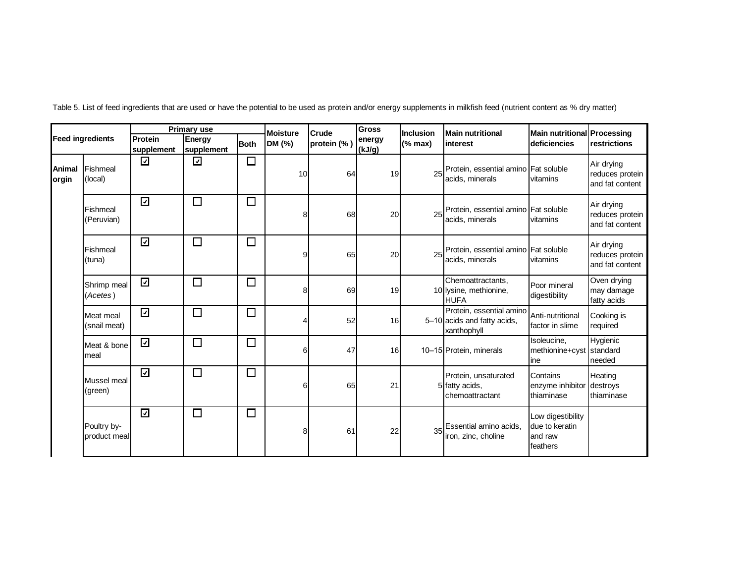|                 |                             | <b>Primary use</b>      |                      |             | <b>Moisture</b> | Crude       | <b>Gross</b>     | Inclusion | <b>Main nutritional</b>                                                | Main nutritional Processing                                |                                                  |
|-----------------|-----------------------------|-------------------------|----------------------|-------------|-----------------|-------------|------------------|-----------|------------------------------------------------------------------------|------------------------------------------------------------|--------------------------------------------------|
|                 | <b>Feed ingredients</b>     | Protein<br>supplement   | Energy<br>supplement | <b>Both</b> | DM (%)          | protein (%) | energy<br>(kJ/g) | (% max)   | linterest                                                              | deficiencies                                               | restrictions                                     |
| Animal<br>orgin | Fishmeal<br>(local)         | $\overline{\mathbf{v}}$ | ☑                    | $\Box$      | 10              | 64          | 19               | 25        | Protein, essential amino Fat soluble<br>acids, minerals                | vitamins                                                   | Air drying<br>reduces protein<br>and fat content |
|                 | Fishmeal<br>(Peruvian)      | $\overline{\mathbf{z}}$ | $\Box$               | $\Box$      | 8               | 68          | 20               | 25        | Protein, essential amino Fat soluble<br>acids, minerals                | vitamins                                                   | Air drying<br>reduces protein<br>and fat content |
|                 | Fishmeal<br>(tuna)          | ☑                       | $\Box$               | $\Box$      | a               | 65          | 20               | 25        | Protein, essential amino Fat soluble<br>acids, minerals                | vitamins                                                   | Air drying<br>reduces protein<br>and fat content |
|                 | Shrimp meal<br>(Acetes)     | $\overline{\mathbf{z}}$ | $\Box$               | $\Box$      |                 | 69          | 19               |           | Chemoattractants,<br>10 lysine, methionine,<br><b>HUFA</b>             | Poor mineral<br>digestibility                              | Oven drying<br>may damage<br>fatty acids         |
|                 | Meat meal<br>(snail meat)   | $\overline{\mathbf{y}}$ | $\Box$               | $\Box$      |                 | 52          | 16               |           | Protein, essential amino<br>5-10 acids and fatty acids,<br>xanthophyll | Anti-nutritional<br>factor in slime                        | Cooking is<br>required                           |
|                 | Meat & bone<br>meal         | $\overline{\mathbf{z}}$ | $\Box$               | $\Box$      | 6               | 47          | 16 <sup>l</sup>  |           | 10-15 Protein, minerals                                                | Isoleucine,<br>methionine+cyst standard<br>line            | Hygienic<br>needed                               |
|                 | Mussel meal<br>(green)      | $\overline{\mathbf{v}}$ | $\Box$               | $\Box$      | 6               | 65          | 21               |           | Protein, unsaturated<br>5 fatty acids,<br>chemoattractant              | Contains<br>enzyme inhibitor<br>thiaminase                 | Heating<br>destroys<br>thiaminase                |
|                 | Poultry by-<br>product meal | ⊡                       | $\Box$               | $\Box$      | 8               | 61          | 22               | 35        | Essential amino acids,<br>iron, zinc, choline                          | Low digestibility<br>due to keratin<br>and raw<br>feathers |                                                  |

Table 5. List of feed ingredients that are used or have the potential to be used as protein and/or energy supplements in milkfish feed (nutrient content as % dry matter)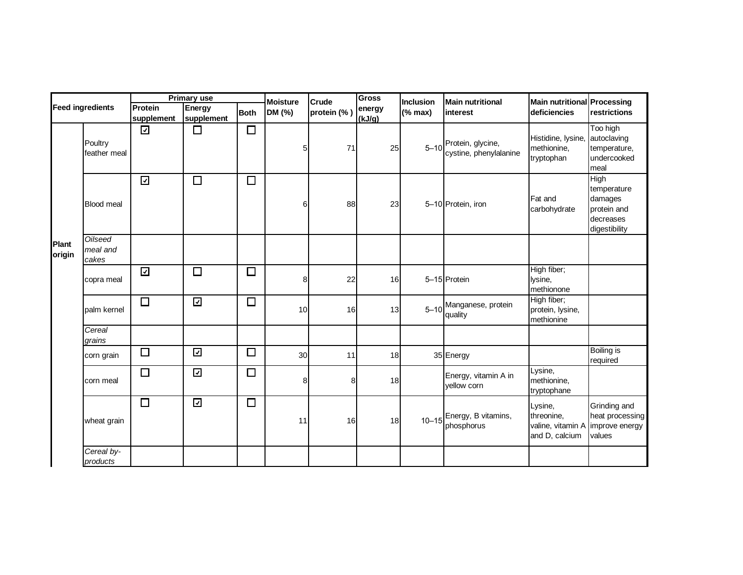| <b>Feed ingredients</b> |                                     | <b>Primary use</b>      |                         |             | <b>Moisture</b> | Crude       | <b>Gross</b>     | Inclusion                | <b>Main nutritional</b>                                     | Main nutritional Processing                                  |                                                                             |
|-------------------------|-------------------------------------|-------------------------|-------------------------|-------------|-----------------|-------------|------------------|--------------------------|-------------------------------------------------------------|--------------------------------------------------------------|-----------------------------------------------------------------------------|
|                         |                                     | Protein<br>supplement   | Energy<br>supplement    | <b>Both</b> | DM (%)          | protein (%) | energy<br>(kJ/g) | $(% \mathbf{R})$ (% max) | interest                                                    | <b>deficiencies</b>                                          | restrictions                                                                |
|                         | Poultry<br>feather meal             | $\overline{\mathbf{v}}$ | $\Box$                  | $\Box$      | 5               | 71          | 25               |                          | 5-10 <sup>Protein, glycine,</sup><br>cystine, phenylalanine | Histidine, lysine,<br>methionine,<br>tryptophan              | Too high<br>autoclaving<br>temperature,<br>undercooked<br>meal              |
|                         | <b>Blood meal</b>                   | $\overline{\mathbf{y}}$ | $\Box$                  | $\Box$      | 6               | 88          | 23               |                          | 5-10 Protein, iron                                          | Fat and<br>carbohydrate                                      | High<br>temperature<br>damages<br>protein and<br>decreases<br>digestibility |
| Plant<br>origin         | <b>Oilseed</b><br>meal and<br>cakes |                         |                         |             |                 |             |                  |                          |                                                             |                                                              |                                                                             |
|                         | copra meal                          | $\overline{\mathbf{z}}$ | $\Box$                  | $\Box$      | 8               | 22          | 16               |                          | 5-15 Protein                                                | High fiber;<br>lysine,<br>methionone                         |                                                                             |
|                         | palm kernel                         | $\Box$                  | $\overline{\mathbf{y}}$ | $\Box$      | 10              | 16          | 13               |                          | 5-10 Manganese, protein<br>quality                          | High fiber;<br>protein, lysine,<br>methionine                |                                                                             |
|                         | Cereal<br>grains                    |                         |                         |             |                 |             |                  |                          |                                                             |                                                              |                                                                             |
|                         | corn grain                          | $\Box$                  | $\overline{\mathbf{z}}$ | $\Box$      | 30              | 11          | 18               |                          | 35 Energy                                                   |                                                              | <b>Boiling is</b><br>required                                               |
|                         | corn meal                           | $\Box$                  | $\overline{\mathbf{y}}$ | $\Box$      | 8               | 8           | 18               |                          | Energy, vitamin A in<br>vellow corn                         | Lysine,<br>methionine,<br>tryptophane                        |                                                                             |
|                         | wheat grain                         | $\Box$                  | $\overline{\mathbf{z}}$ | $\Box$      | 11              | 16          | 18               |                          | 10-15 Energy, B vitamins,<br>phosphorus                     | Lysine,<br>threonine,<br>valine, vitamin A<br>and D, calcium | Grinding and<br>heat processing<br>improve energy<br>values                 |
|                         | Cereal by-<br>products              |                         |                         |             |                 |             |                  |                          |                                                             |                                                              |                                                                             |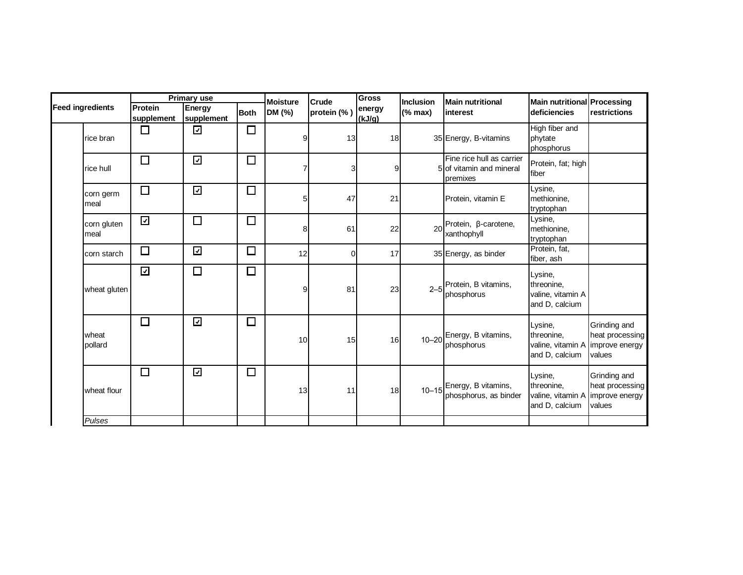|                         | <b>Primary use</b>      |                         |             | <b>Moisture</b> | <b>Gross</b><br>Crude |                  | Inclusion    | <b>Main nutritional</b>                                           | Main nutritional Processing                                                  |                                                             |
|-------------------------|-------------------------|-------------------------|-------------|-----------------|-----------------------|------------------|--------------|-------------------------------------------------------------------|------------------------------------------------------------------------------|-------------------------------------------------------------|
| <b>Feed ingredients</b> | Protein<br>supplement   | Energy<br>supplement    | <b>Both</b> | DM (%)          | protein (%)           | energy<br>(kJ/g) | $(%$ (% max) | <b>Interest</b>                                                   | deficiencies                                                                 | restrictions                                                |
| rice bran               | $\Box$                  | ☑                       | $\Box$      |                 | 13                    | 18               |              | 35 Energy, B-vitamins                                             | High fiber and<br>phytate<br>phosphorus                                      |                                                             |
| rice hull               | $\Box$                  | $\overline{\mathbf{z}}$ | $\Box$      |                 | 3                     | 9                |              | Fine rice hull as carrier<br>5 of vitamin and mineral<br>premixes | Protein, fat; high<br>fiber                                                  |                                                             |
| corn germ<br>meal       | $\Box$                  | $\overline{\mathbf{z}}$ | $\Box$      | 5               | 47                    | 21               |              | Protein, vitamin E                                                | Lysine,<br>methionine,<br>tryptophan                                         |                                                             |
| corn gluten<br>meal     | $\overline{\mathbf{y}}$ | $\Box$                  | $\Box$      | 8               | 61                    | 22               | 20           | Protein, ß-carotene,<br>xanthophyll                               | Lysine,<br>methionine.<br>tryptophan                                         |                                                             |
| corn starch             | $\Box$                  | $\overline{\mathbf{z}}$ | $\Box$      | 12              | $\Omega$              | 17               |              | 35 Energy, as binder                                              | Protein, fat,<br>fiber, ash                                                  |                                                             |
| wheat gluten            | $\overline{\mathbf{v}}$ | $\Box$                  | $\Box$      | 9               | 81                    | 23               |              | 2-5 <sup>Protein, B vitamins,</sup><br>phosphorus                 | Lysine,<br>threonine,<br>valine, vitamin A<br>and D, calcium                 |                                                             |
| wheat<br>pollard        | $\Box$                  | $\overline{\mathbf{z}}$ | $\Box$      | 10              | 15                    | 16               |              | 10-20 Energy, B vitamins,<br>phosphorus                           | Lysine,<br>threonine.<br>valine, vitamin A<br>and D, calcium                 | Grinding and<br>heat processing<br>improve energy<br>values |
| wheat flour             | $\Box$                  | $\overline{\mathbf{v}}$ | $\Box$      | 13              | 11                    | 18               |              | 10-15 Energy, B vitamins,<br>phosphorus, as binder                | Lysine,<br>threonine,<br>valine, vitamin A limprove energy<br>and D, calcium | Grinding and<br>heat processing<br>values                   |
| Pulses                  |                         |                         |             |                 |                       |                  |              |                                                                   |                                                                              |                                                             |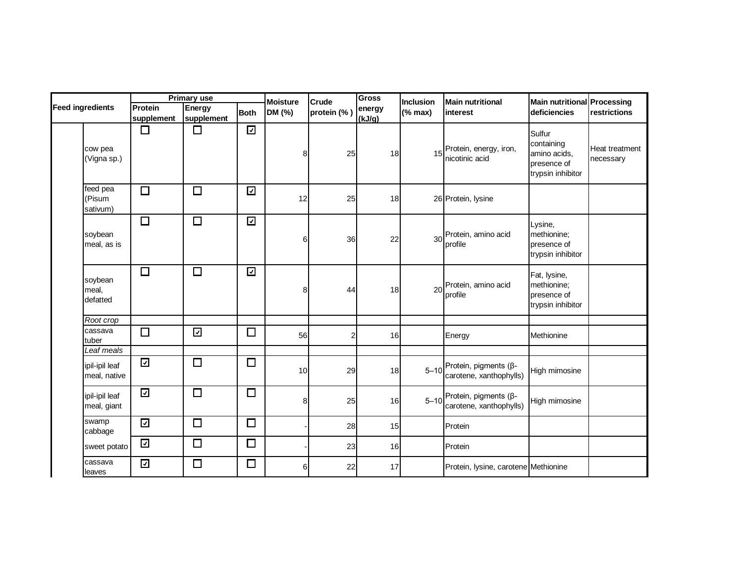|                                | Primary use              |                         |                         | <b>Moisture</b> | Crude       | <b>Gross</b>     | Inclusion | <b>Main nutritional</b>                               | Main nutritional Processing                                              |                             |
|--------------------------------|--------------------------|-------------------------|-------------------------|-----------------|-------------|------------------|-----------|-------------------------------------------------------|--------------------------------------------------------------------------|-----------------------------|
| <b>Feed ingredients</b>        | Protein<br>supplement    | Energy<br>supplement    | <b>Both</b>             | DM (%)          | protein (%) | energy<br>(kJ/g) | (% max)   | interest                                              | deficiencies                                                             | restrictions                |
| cow pea<br>(Vigna sp.)         | $\Box$                   | $\Box$                  | $\overline{\mathbf{v}}$ | 8               | 25          | 18 <sup>l</sup>  | 15        | Protein, energy, iron,<br>nicotinic acid              | Sulfur<br>containing<br>amino acids,<br>presence of<br>trypsin inhibitor | Heat treatment<br>necessary |
| feed pea<br>(Pisum<br>sativum) | $\Box$                   | $\Box$                  | $\overline{\mathbf{v}}$ | 12              | 25          | 18               |           | 26 Protein, lysine                                    |                                                                          |                             |
| soybean<br>meal, as is         | $\Box$                   | $\Box$                  | $\overline{\mathbf{z}}$ | 6               | 36          | 22               | 30        | Protein, amino acid<br>profile                        | Lysine,<br>methionine;<br>presence of<br>trypsin inhibitor               |                             |
| soybean<br>meal,<br>defatted   | $\Box$                   | $\Box$                  | $\overline{\mathbf{z}}$ | 8               | 44          | 18               | 20        | Protein, amino acid<br>profile                        | Fat, lysine,<br>methionine;<br>presence of<br>trypsin inhibitor          |                             |
| Root crop                      |                          |                         |                         |                 |             |                  |           |                                                       |                                                                          |                             |
| cassava<br>tuber               | $\Box$                   | $\overline{\mathbf{z}}$ | $\Box$                  | 56              | 2           | 16               |           | Energy                                                | Methionine                                                               |                             |
| Leaf meals                     |                          |                         |                         |                 |             |                  |           |                                                       |                                                                          |                             |
| ipil-ipil leaf<br>meal, native | $\overline{\mathcal{L}}$ | $\Box$                  | $\Box$                  | 10              | 29          | 18               |           | 5-10 Protein, pigments (β-<br>carotene, xanthophylls) | High mimosine                                                            |                             |
| ipil-ipil leaf<br>meal, giant  | $\overline{\mathbf{v}}$  | $\Box$                  | $\Box$                  | 8               | 25          | 16               |           | 5-10 Protein, pigments (β-<br>carotene, xanthophylls) | High mimosine                                                            |                             |
| swamp<br>cabbage               | $\overline{\mathbf{v}}$  | $\Box$                  | $\Box$                  |                 | 28          | 15               |           | Protein                                               |                                                                          |                             |
| sweet potato                   | $\overline{\mathbf{z}}$  | $\Box$                  | $\Box$                  |                 | 23          | 16               |           | Protein                                               |                                                                          |                             |
| cassava<br>leaves              | $\overline{\mathbf{v}}$  | $\Box$                  | $\Box$                  | 6               | 22          | 17               |           | Protein, lysine, carotene Methionine                  |                                                                          |                             |